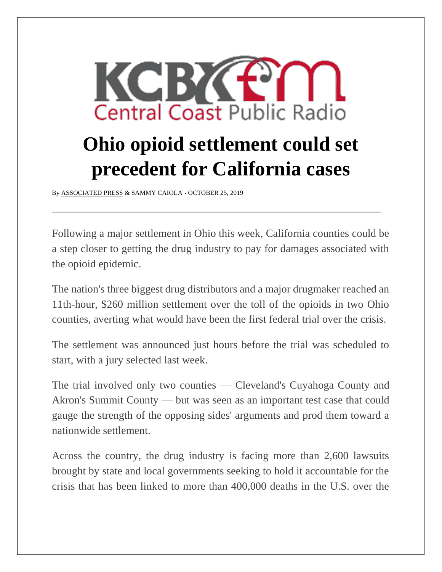

## **Ohio opioid settlement could set precedent for California cases**

By [ASSOCIATED PRESS](https://www.kcbx.org/people/associated-press) & SAMMY CAIOLA *•* OCTOBER 25, 2019

Following a major settlement in Ohio this week, California counties could be a step closer to getting the drug industry to pay for damages associated with the opioid epidemic.

\_\_\_\_\_\_\_\_\_\_\_\_\_\_\_\_\_\_\_\_\_\_\_\_\_\_\_\_\_\_\_\_\_\_\_\_\_\_\_\_\_\_\_\_\_\_\_\_\_\_\_\_\_\_\_\_\_\_\_\_\_\_\_\_\_\_\_\_\_\_\_\_\_\_\_\_

The nation's three biggest drug distributors and a major drugmaker reached an 11th-hour, \$260 million settlement over the toll of the opioids in two Ohio counties, averting what would have been the first federal trial over the crisis.

The settlement was announced just hours before the trial was scheduled to start, with a jury selected last week.

The trial involved only two counties — Cleveland's Cuyahoga County and Akron's Summit County — but was seen as an important test case that could gauge the strength of the opposing sides' arguments and prod them toward a nationwide settlement.

Across the country, the drug industry is facing more than 2,600 lawsuits brought by state and local governments seeking to hold it accountable for the crisis that has been linked to more than 400,000 deaths in the U.S. over the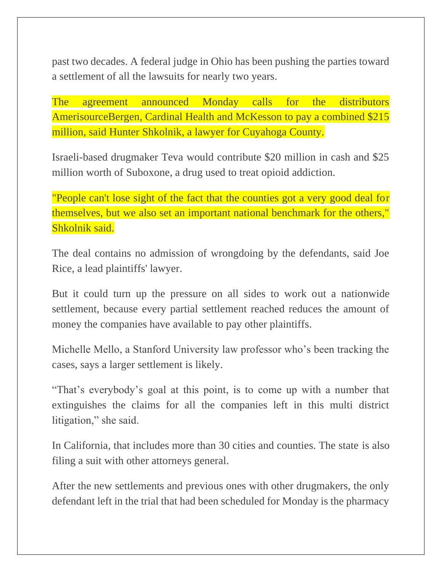past two decades. A federal judge in Ohio has been pushing the parties toward a settlement of all the lawsuits for nearly two years.

The agreement announced Monday calls for the distributors AmerisourceBergen, Cardinal Health and McKesson to pay a combined \$215 million, said Hunter Shkolnik, a lawyer for Cuyahoga County.

Israeli-based drugmaker Teva would contribute \$20 million in cash and \$25 million worth of Suboxone, a drug used to treat opioid addiction.

"People can't lose sight of the fact that the counties got a very good deal for themselves, but we also set an important national benchmark for the others," Shkolnik said.

The deal contains no admission of wrongdoing by the defendants, said Joe Rice, a lead plaintiffs' lawyer.

But it could turn up the pressure on all sides to work out a nationwide settlement, because every partial settlement reached reduces the amount of money the companies have available to pay other plaintiffs.

Michelle Mello, a Stanford University law professor who's been tracking the cases, says a larger settlement is likely.

"That's everybody's goal at this point, is to come up with a number that extinguishes the claims for all the companies left in this multi district litigation," she said.

In California, that includes more than 30 cities and counties. The state is also filing a suit with other attorneys general.

After the new settlements and previous ones with other drugmakers, the only defendant left in the trial that had been scheduled for Monday is the pharmacy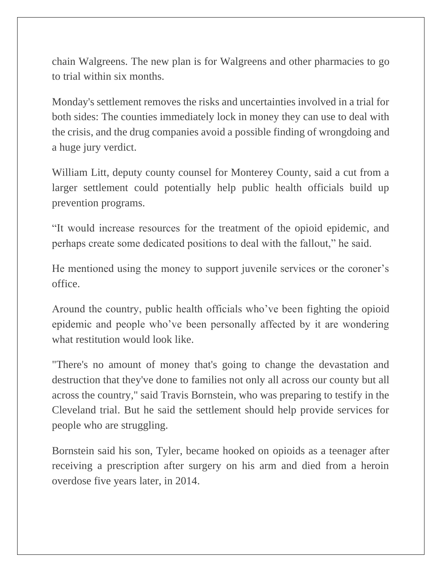chain Walgreens. The new plan is for Walgreens and other pharmacies to go to trial within six months.

Monday's settlement removes the risks and uncertainties involved in a trial for both sides: The counties immediately lock in money they can use to deal with the crisis, and the drug companies avoid a possible finding of wrongdoing and a huge jury verdict.

William Litt, deputy county counsel for Monterey County, said a cut from a larger settlement could potentially help public health officials build up prevention programs.

"It would increase resources for the treatment of the opioid epidemic, and perhaps create some dedicated positions to deal with the fallout," he said.

He mentioned using the money to support juvenile services or the coroner's office.

Around the country, public health officials who've been fighting the opioid epidemic and people who've been personally affected by it are wondering what restitution would look like.

"There's no amount of money that's going to change the devastation and destruction that they've done to families not only all across our county but all across the country," said Travis Bornstein, who was preparing to testify in the Cleveland trial. But he said the settlement should help provide services for people who are struggling.

Bornstein said his son, Tyler, became hooked on opioids as a teenager after receiving a prescription after surgery on his arm and died from a heroin overdose five years later, in 2014.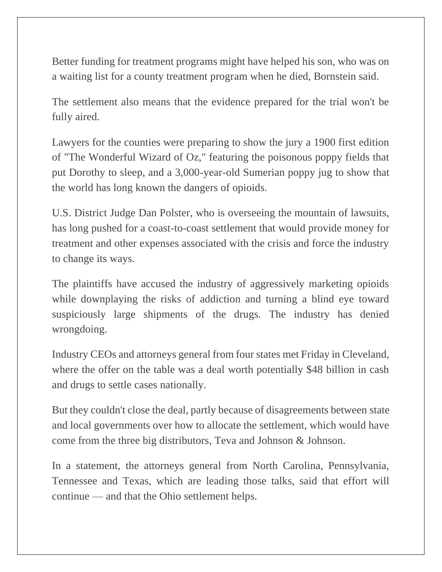Better funding for treatment programs might have helped his son, who was on a waiting list for a county treatment program when he died, Bornstein said.

The settlement also means that the evidence prepared for the trial won't be fully aired.

Lawyers for the counties were preparing to show the jury a 1900 first edition of "The Wonderful Wizard of Oz," featuring the poisonous poppy fields that put Dorothy to sleep, and a 3,000-year-old Sumerian poppy jug to show that the world has long known the dangers of opioids.

U.S. District Judge Dan Polster, who is overseeing the mountain of lawsuits, has long pushed for a coast-to-coast settlement that would provide money for treatment and other expenses associated with the crisis and force the industry to change its ways.

The plaintiffs have accused the industry of aggressively marketing opioids while downplaying the risks of addiction and turning a blind eye toward suspiciously large shipments of the drugs. The industry has denied wrongdoing.

Industry CEOs and attorneys general from four states met Friday in Cleveland, where the offer on the table was a deal worth potentially \$48 billion in cash and drugs to settle cases nationally.

But they couldn't close the deal, partly because of disagreements between state and local governments over how to allocate the settlement, which would have come from the three big distributors, Teva and Johnson & Johnson.

In a statement, the attorneys general from North Carolina, Pennsylvania, Tennessee and Texas, which are leading those talks, said that effort will continue — and that the Ohio settlement helps.